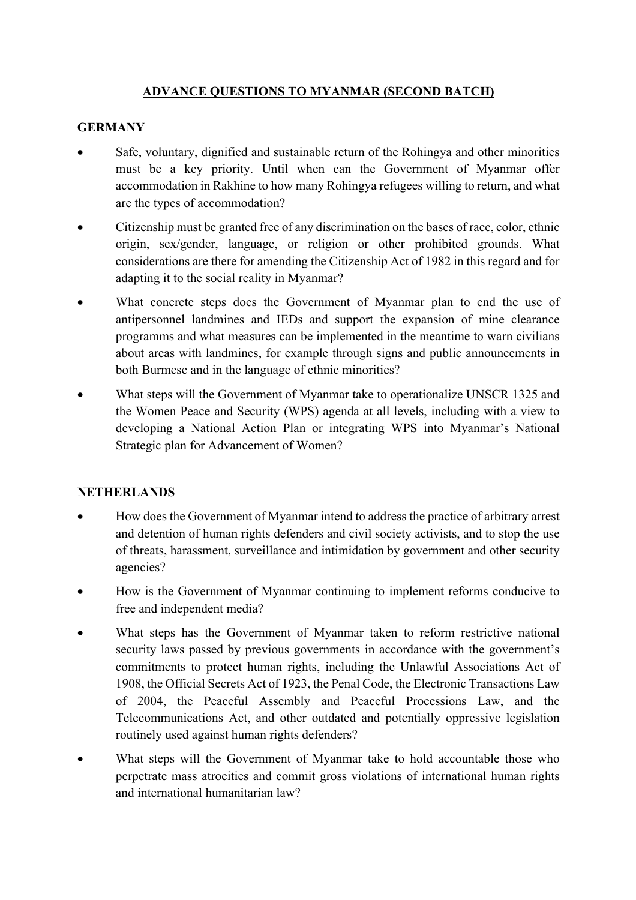# **ADVANCE QUESTIONS TO MYANMAR (SECOND BATCH)**

### **GERMANY**

- Safe, voluntary, dignified and sustainable return of the Rohingya and other minorities must be a key priority. Until when can the Government of Myanmar offer accommodation in Rakhine to how many Rohingya refugees willing to return, and what are the types of accommodation?
- Citizenship must be granted free of any discrimination on the bases of race, color, ethnic origin, sex/gender, language, or religion or other prohibited grounds. What considerations are there for amending the Citizenship Act of 1982 in this regard and for adapting it to the social reality in Myanmar?
- What concrete steps does the Government of Myanmar plan to end the use of antipersonnel landmines and IEDs and support the expansion of mine clearance programms and what measures can be implemented in the meantime to warn civilians about areas with landmines, for example through signs and public announcements in both Burmese and in the language of ethnic minorities?
- What steps will the Government of Myanmar take to operationalize UNSCR 1325 and the Women Peace and Security (WPS) agenda at all levels, including with a view to developing a National Action Plan or integrating WPS into Myanmar's National Strategic plan for Advancement of Women?

### **NETHERLANDS**

- How does the Government of Myanmar intend to address the practice of arbitrary arrest and detention of human rights defenders and civil society activists, and to stop the use of threats, harassment, surveillance and intimidation by government and other security agencies?
- How is the Government of Myanmar continuing to implement reforms conducive to free and independent media?
- What steps has the Government of Myanmar taken to reform restrictive national security laws passed by previous governments in accordance with the government's commitments to protect human rights, including the Unlawful Associations Act of 1908, the Official Secrets Act of 1923, the Penal Code, the Electronic Transactions Law of 2004, the Peaceful Assembly and Peaceful Processions Law, and the Telecommunications Act, and other outdated and potentially oppressive legislation routinely used against human rights defenders?
- What steps will the Government of Myanmar take to hold accountable those who perpetrate mass atrocities and commit gross violations of international human rights and international humanitarian law?